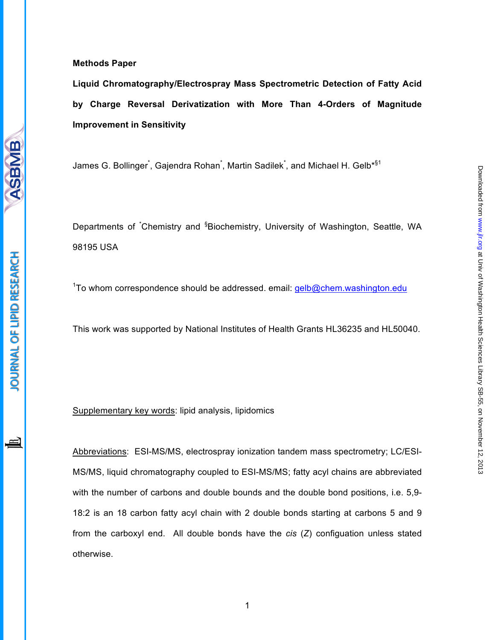# **Methods Paper**

**Liquid Chromatography/Electrospray Mass Spectrometric Detection of Fatty Acid by Charge Reversal Derivatization with More Than 4-Orders of Magnitude Improvement in Sensitivity**

James G. Bollinger<sup>\*</sup>, Gajendra Rohan<sup>\*</sup>, Martin Sadilek<sup>\*</sup>, and Michael H. Gelb\*<sup>§1</sup>

Departments of Chemistry and <sup>§</sup>Biochemistry, University of Washington, Seattle, WA 98195 USA

<sup>1</sup>To whom correspondence should be addressed. email: **gelb@chem.washington.edu** 

This work was supported by National Institutes of Health Grants HL36235 and HL50040.

Supplementary key words: lipid analysis, lipidomics

Abbreviations: ESI-MS/MS, electrospray ionization tandem mass spectrometry; LC/ESI-MS/MS, liquid chromatography coupled to ESI-MS/MS; fatty acyl chains are abbreviated with the number of carbons and double bounds and the double bond positions, i.e. 5,9- 18:2 is an 18 carbon fatty acyl chain with 2 double bonds starting at carbons 5 and 9 from the carboxyl end. All double bonds have the *cis* (*Z*) configuation unless stated otherwise.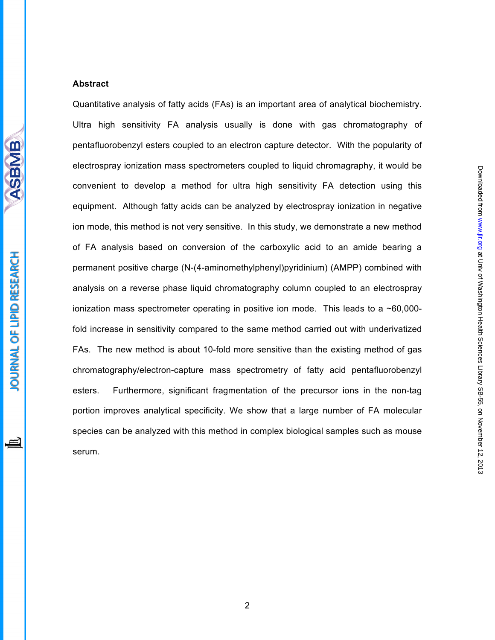# **Abstract**

Quantitative analysis of fatty acids (FAs) is an important area of analytical biochemistry. Ultra high sensitivity FA analysis usually is done with gas chromatography of pentafluorobenzyl esters coupled to an electron capture detector. With the popularity of electrospray ionization mass spectrometers coupled to liquid chromagraphy, it would be convenient to develop a method for ultra high sensitivity FA detection using this equipment. Although fatty acids can be analyzed by electrospray ionization in negative ion mode, this method is not very sensitive. In this study, we demonstrate a new method of FA analysis based on conversion of the carboxylic acid to an amide bearing a permanent positive charge (N-(4-aminomethylphenyl)pyridinium) (AMPP) combined with analysis on a reverse phase liquid chromatography column coupled to an electrospray ionization mass spectrometer operating in positive ion mode. This leads to a  $\sim 60,000$ fold increase in sensitivity compared to the same method carried out with underivatized FAs. The new method is about 10-fold more sensitive than the existing method of gas chromatography/electron-capture mass spectrometry of fatty acid pentafluorobenzyl esters. Furthermore, significant fragmentation of the precursor ions in the non-tag portion improves analytical specificity. We show that a large number of FA molecular species can be analyzed with this method in complex biological samples such as mouse serum.

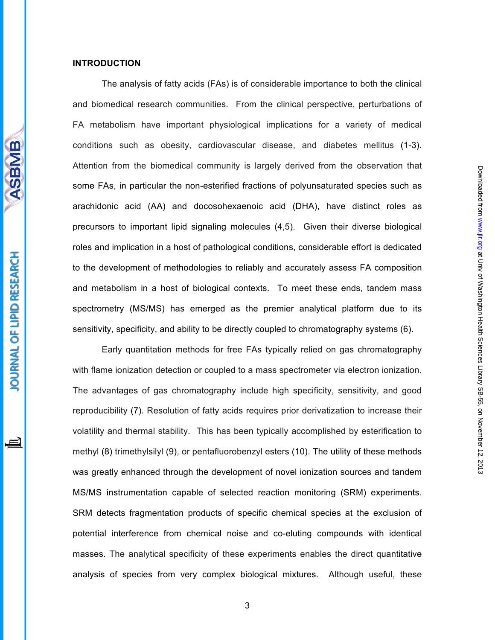# **INTRODUCTION**

**ASBMB** 

**JOURNAL OF LIPID RESEARCH** 

The analysis of fatty acids (FAs) is of considerable importance to both the clinical and biomedical research communities. From the clinical perspective, perturbations of FA metabolism have important physiological implications for a variety of medical conditions such as obesity, cardiovascular disease, and diabetes mellitus (1-3). Attention from the biomedical community is largely derived from the observation that some FAs, in particular the non-esterified fractions of polyunsaturated species such as arachidonic acid (AA) and docosohexaenoic acid (DHA), have distinct roles as precursors to important lipid signaling molecules (4,5). Given their diverse biological roles and implication in a host of pathological conditions, considerable effort is dedicated to the development of methodologies to reliably and accurately assess FA composition and metabolism in a host of biological contexts. To meet these ends, tandem mass spectrometry (MS/MS) has emerged as the premier analytical platform due to its sensitivity, specificity, and ability to be directly coupled to chromatography systems (6).

Early quantitation methods for free FAs typically relied on gas chromatography with flame ionization detection or coupled to a mass spectrometer via electron ionization. The advantages of gas chromatography include high specificity, sensitivity, and good reproducibility (7). Resolution of fatty acids requires prior derivatization to increase their volatility and thermal stability. This has been typically accomplished by esterification to methyl (8) trimethylsilyl (9), or pentafluorobenzyl esters (10). The utility of these methods was greatly enhanced through the development of novel ionization sources and tandem MS/MS instrumentation capable of selected reaction monitoring (SRM) experiments. SRM detects fragmentation products of specific chemical species at the exclusion of potential interference from chemical noise and co-eluting compounds with identical masses. The analytical specificity of these experiments enables the direct quantitative analysis of species from very complex biological mixtures. Although useful, these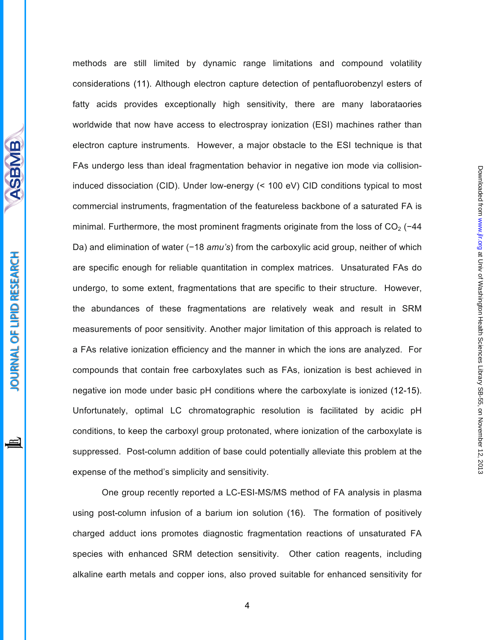methods are still limited by dynamic range limitations and compound volatility considerations (11). Although electron capture detection of pentafluorobenzyl esters of fatty acids provides exceptionally high sensitivity, there are many laborataories worldwide that now have access to electrospray ionization (ESI) machines rather than electron capture instruments. However, a major obstacle to the ESI technique is that FAs undergo less than ideal fragmentation behavior in negative ion mode via collisioninduced dissociation (CID). Under low-energy (< 100 eV) CID conditions typical to most commercial instruments, fragmentation of the featureless backbone of a saturated FA is minimal. Furthermore, the most prominent fragments originate from the loss of  $CO<sub>2</sub>$  (-44 Da) and elimination of water (−18 *amu's*) from the carboxylic acid group, neither of which are specific enough for reliable quantitation in complex matrices. Unsaturated FAs do undergo, to some extent, fragmentations that are specific to their structure. However, the abundances of these fragmentations are relatively weak and result in SRM measurements of poor sensitivity. Another major limitation of this approach is related to a FAs relative ionization efficiency and the manner in which the ions are analyzed. For compounds that contain free carboxylates such as FAs, ionization is best achieved in negative ion mode under basic pH conditions where the carboxylate is ionized (12-15). Unfortunately, optimal LC chromatographic resolution is facilitated by acidic pH conditions, to keep the carboxyl group protonated, where ionization of the carboxylate is suppressed. Post-column addition of base could potentially alleviate this problem at the expense of the method's simplicity and sensitivity.

One group recently reported a LC-ESI-MS/MS method of FA analysis in plasma using post-column infusion of a barium ion solution (16). The formation of positively charged adduct ions promotes diagnostic fragmentation reactions of unsaturated FA species with enhanced SRM detection sensitivity. Other cation reagents, including alkaline earth metals and copper ions, also proved suitable for enhanced sensitivity for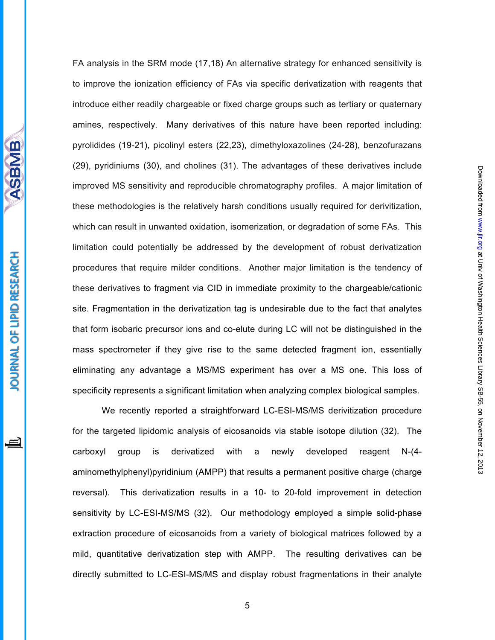FA analysis in the SRM mode (17,18) An alternative strategy for enhanced sensitivity is to improve the ionization efficiency of FAs via specific derivatization with reagents that introduce either readily chargeable or fixed charge groups such as tertiary or quaternary amines, respectively. Many derivatives of this nature have been reported including: pyrolidides (19-21), picolinyl esters (22,23), dimethyloxazolines (24-28), benzofurazans (29), pyridiniums (30), and cholines (31). The advantages of these derivatives include improved MS sensitivity and reproducible chromatography profiles. A major limitation of these methodologies is the relatively harsh conditions usually required for derivitization, which can result in unwanted oxidation, isomerization, or degradation of some FAs. This limitation could potentially be addressed by the development of robust derivatization procedures that require milder conditions. Another major limitation is the tendency of these derivatives to fragment via CID in immediate proximity to the chargeable/cationic site. Fragmentation in the derivatization tag is undesirable due to the fact that analytes that form isobaric precursor ions and co-elute during LC will not be distinguished in the mass spectrometer if they give rise to the same detected fragment ion, essentially eliminating any advantage a MS/MS experiment has over a MS one. This loss of specificity represents a significant limitation when analyzing complex biological samples.

ASBMB

**JOURNAL OF LIPID RESEARCH** 

We recently reported a straightforward LC-ESI-MS/MS derivitization procedure for the targeted lipidomic analysis of eicosanoids via stable isotope dilution (32). The carboxyl group is derivatized with a newly developed reagent N-(4 aminomethylphenyl)pyridinium (AMPP) that results a permanent positive charge (charge reversal). This derivatization results in a 10- to 20-fold improvement in detection sensitivity by LC-ESI-MS/MS (32). Our methodology employed a simple solid-phase extraction procedure of eicosanoids from a variety of biological matrices followed by a mild, quantitative derivatization step with AMPP. The resulting derivatives can be directly submitted to LC-ESI-MS/MS and display robust fragmentations in their analyte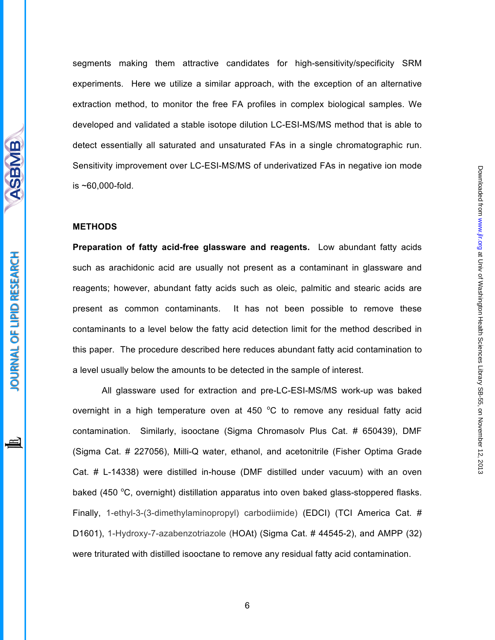segments making them attractive candidates for high-sensitivity/specificity SRM experiments. Here we utilize a similar approach, with the exception of an alternative extraction method, to monitor the free FA profiles in complex biological samples. We developed and validated a stable isotope dilution LC-ESI-MS/MS method that is able to detect essentially all saturated and unsaturated FAs in a single chromatographic run. Sensitivity improvement over LC-ESI-MS/MS of underivatized FAs in negative ion mode  $is$  ~60,000-fold.

# **METHODS**

**ASBMB** 

JOURNAL OF LIPID RESEARCH

**Preparation of fatty acid-free glassware and reagents.** Low abundant fatty acids such as arachidonic acid are usually not present as a contaminant in glassware and reagents; however, abundant fatty acids such as oleic, palmitic and stearic acids are present as common contaminants. It has not been possible to remove these contaminants to a level below the fatty acid detection limit for the method described in this paper. The procedure described here reduces abundant fatty acid contamination to a level usually below the amounts to be detected in the sample of interest.

All glassware used for extraction and pre-LC-ESI-MS/MS work-up was baked overnight in a high temperature oven at 450  $^{\circ}$ C to remove any residual fatty acid contamination. Similarly, isooctane (Sigma Chromasolv Plus Cat. # 650439), DMF (Sigma Cat. # 227056), Milli-Q water, ethanol, and acetonitrile (Fisher Optima Grade Cat. # L-14338) were distilled in-house (DMF distilled under vacuum) with an oven baked (450 °C, overnight) distillation apparatus into oven baked glass-stoppered flasks. Finally, 1-ethyl-3-(3-dimethylaminopropyl) carbodiimide) (EDCI) (TCI America Cat. # D1601), 1-Hydroxy-7-azabenzotriazole (HOAt) (Sigma Cat. # 44545-2), and AMPP (32) were triturated with distilled isooctane to remove any residual fatty acid contamination.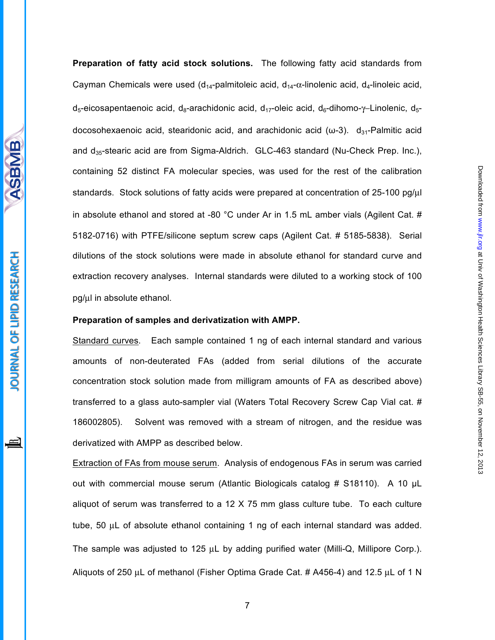**Preparation of fatty acid stock solutions.** The following fatty acid standards from Cayman Chemicals were used (d<sub>14</sub>-palmitoleic acid, d<sub>14</sub>- $\alpha$ -linolenic acid, d<sub>4</sub>-linoleic acid, d<sub>5</sub>-eicosapentaenoic acid, d<sub>8</sub>-arachidonic acid, d<sub>17</sub>-oleic acid, d<sub>6</sub>-dihomo-γ−Linolenic, d<sub>5</sub>docosohexaenoic acid, stearidonic acid, and arachidonic acid ( $\omega$ -3). d<sub>31</sub>-Palmitic acid and  $d_{35}$ -stearic acid are from Sigma-Aldrich. GLC-463 standard (Nu-Check Prep. Inc.), containing 52 distinct FA molecular species, was used for the rest of the calibration standards. Stock solutions of fatty acids were prepared at concentration of 25-100 pg/µl in absolute ethanol and stored at -80  $^{\circ}$ C under Ar in 1.5 mL amber vials (Agilent Cat. # 5182-0716) with PTFE/silicone septum screw caps (Agilent Cat. # 5185-5838). Serial dilutions of the stock solutions were made in absolute ethanol for standard curve and extraction recovery analyses. Internal standards were diluted to a working stock of 100 pg/µl in absolute ethanol.

# **Preparation of samples and derivatization with AMPP.**

Standard curves. Each sample contained 1 ng of each internal standard and various amounts of non-deuterated FAs (added from serial dilutions of the accurate concentration stock solution made from milligram amounts of FA as described above) transferred to a glass auto-sampler vial (Waters Total Recovery Screw Cap Vial cat. # 186002805). Solvent was removed with a stream of nitrogen, and the residue was derivatized with AMPP as described below.

Extraction of FAs from mouse serum. Analysis of endogenous FAs in serum was carried out with commercial mouse serum (Atlantic Biologicals catalog # S18110). A 10 µL aliquot of serum was transferred to a 12 X 75 mm glass culture tube. To each culture tube, 50 µL of absolute ethanol containing 1 ng of each internal standard was added. The sample was adjusted to 125 µL by adding purified water (Milli-Q, Millipore Corp.). Aliquots of 250  $\mu$ L of methanol (Fisher Optima Grade Cat. # A456-4) and 12.5  $\mu$ L of 1 N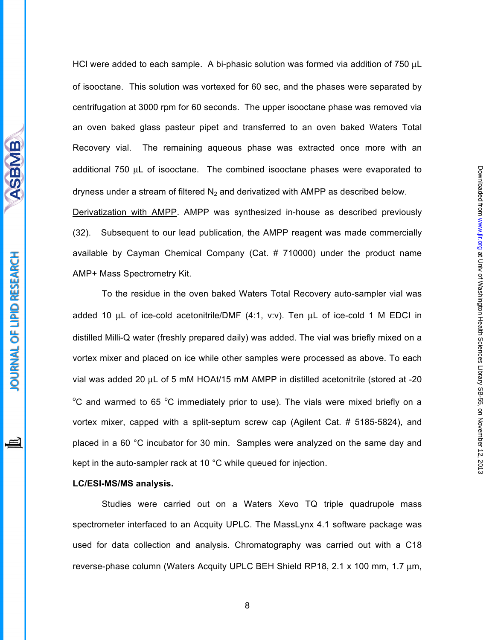HCI were added to each sample. A bi-phasic solution was formed via addition of 750  $\mu$ L of isooctane. This solution was vortexed for 60 sec, and the phases were separated by centrifugation at 3000 rpm for 60 seconds. The upper isooctane phase was removed via an oven baked glass pasteur pipet and transferred to an oven baked Waters Total Recovery vial. The remaining aqueous phase was extracted once more with an additional 750 µL of isooctane. The combined isooctane phases were evaporated to dryness under a stream of filtered  $N_2$  and derivatized with AMPP as described below. Derivatization with AMPP. AMPP was synthesized in-house as described previously (32). Subsequent to our lead publication, the AMPP reagent was made commercially available by Cayman Chemical Company (Cat. # 710000) under the product name AMP+ Mass Spectrometry Kit.

To the residue in the oven baked Waters Total Recovery auto-sampler vial was added 10 µL of ice-cold acetonitrile/DMF (4:1, v:v). Ten µL of ice-cold 1 M EDCI in distilled Milli-Q water (freshly prepared daily) was added. The vial was briefly mixed on a vortex mixer and placed on ice while other samples were processed as above. To each vial was added 20 µL of 5 mM HOAt/15 mM AMPP in distilled acetonitrile (stored at -20 <sup>o</sup>C and warmed to 65 °C immediately prior to use). The vials were mixed briefly on a vortex mixer, capped with a split-septum screw cap (Agilent Cat. # 5185-5824), and placed in a 60 °C incubator for 30 min. Samples were analyzed on the same day and kept in the auto-sampler rack at 10 °C while queued for injection.

### **LC/ESI-MS/MS analysis.**

**ASBMB** 

**JOURNAL OF LIPID RESEARCH** 

Studies were carried out on a Waters Xevo TQ triple quadrupole mass spectrometer interfaced to an Acquity UPLC. The MassLynx 4.1 software package was used for data collection and analysis. Chromatography was carried out with a C18 reverse-phase column (Waters Acquity UPLC BEH Shield RP18, 2.1 x 100 mm, 1.7 µm,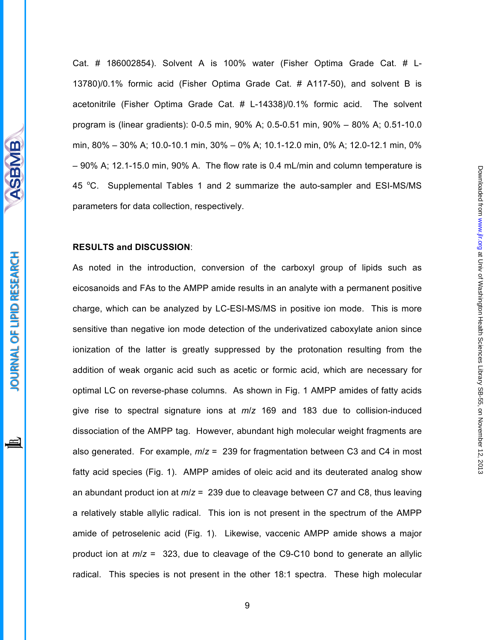Cat. # 186002854). Solvent A is 100% water (Fisher Optima Grade Cat. # L-13780)/0.1% formic acid (Fisher Optima Grade Cat. # A117-50), and solvent B is acetonitrile (Fisher Optima Grade Cat. # L-14338)/0.1% formic acid. The solvent program is (linear gradients): 0-0.5 min, 90% A; 0.5-0.51 min, 90% – 80% A; 0.51-10.0 min, 80% – 30% A; 10.0-10.1 min, 30% – 0% A; 10.1-12.0 min, 0% A; 12.0-12.1 min, 0% – 90% A; 12.1-15.0 min, 90% A. The flow rate is 0.4 mL/min and column temperature is 45 °C. Supplemental Tables 1 and 2 summarize the auto-sampler and ESI-MS/MS parameters for data collection, respectively.

### **RESULTS and DISCUSSION**:

As noted in the introduction, conversion of the carboxyl group of lipids such as eicosanoids and FAs to the AMPP amide results in an analyte with a permanent positive charge, which can be analyzed by LC-ESI-MS/MS in positive ion mode. This is more sensitive than negative ion mode detection of the underivatized caboxylate anion since ionization of the latter is greatly suppressed by the protonation resulting from the addition of weak organic acid such as acetic or formic acid, which are necessary for optimal LC on reverse-phase columns. As shown in Fig. 1 AMPP amides of fatty acids give rise to spectral signature ions at *m*/*z* 169 and 183 due to collision-induced dissociation of the AMPP tag. However, abundant high molecular weight fragments are also generated. For example, *m*/*z* = 239 for fragmentation between C3 and C4 in most fatty acid species (Fig. 1). AMPP amides of oleic acid and its deuterated analog show an abundant product ion at *m*/*z* = 239 due to cleavage between C7 and C8, thus leaving a relatively stable allylic radical. This ion is not present in the spectrum of the AMPP amide of petroselenic acid (Fig. 1). Likewise, vaccenic AMPP amide shows a major product ion at *m*/*z* = 323, due to cleavage of the C9-C10 bond to generate an allylic radical. This species is not present in the other 18:1 spectra. These high molecular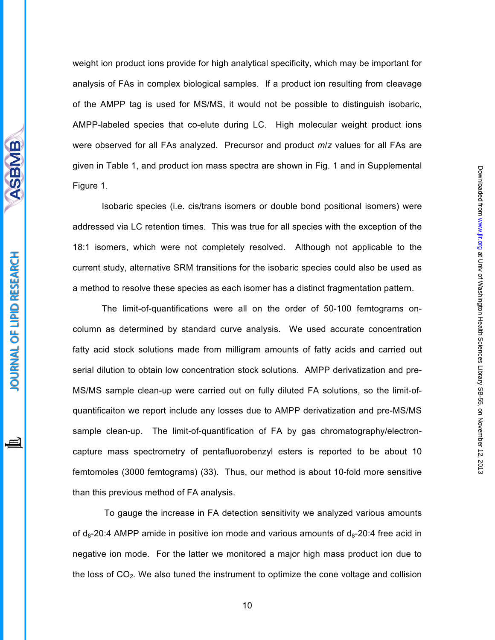**JOURNAL OF LIPID RESEARCH** 

weight ion product ions provide for high analytical specificity, which may be important for analysis of FAs in complex biological samples. If a product ion resulting from cleavage of the AMPP tag is used for MS/MS, it would not be possible to distinguish isobaric, AMPP-labeled species that co-elute during LC. High molecular weight product ions were observed for all FAs analyzed. Precursor and product *m*/*z* values for all FAs are given in Table 1, and product ion mass spectra are shown in Fig. 1 and in Supplemental Figure 1.

Isobaric species (i.e. cis/trans isomers or double bond positional isomers) were addressed via LC retention times. This was true for all species with the exception of the 18:1 isomers, which were not completely resolved. Although not applicable to the current study, alternative SRM transitions for the isobaric species could also be used as a method to resolve these species as each isomer has a distinct fragmentation pattern.

The limit-of-quantifications were all on the order of 50-100 femtograms oncolumn as determined by standard curve analysis. We used accurate concentration fatty acid stock solutions made from milligram amounts of fatty acids and carried out serial dilution to obtain low concentration stock solutions. AMPP derivatization and pre-MS/MS sample clean-up were carried out on fully diluted FA solutions, so the limit-ofquantificaiton we report include any losses due to AMPP derivatization and pre-MS/MS sample clean-up. The limit-of-quantification of FA by gas chromatography/electroncapture mass spectrometry of pentafluorobenzyl esters is reported to be about 10 femtomoles (3000 femtograms) (33). Thus, our method is about 10-fold more sensitive than this previous method of FA analysis.

To gauge the increase in FA detection sensitivity we analyzed various amounts of  $d_8$ -20:4 AMPP amide in positive ion mode and various amounts of  $d_8$ -20:4 free acid in negative ion mode. For the latter we monitored a major high mass product ion due to the loss of  $CO<sub>2</sub>$ . We also tuned the instrument to optimize the cone voltage and collision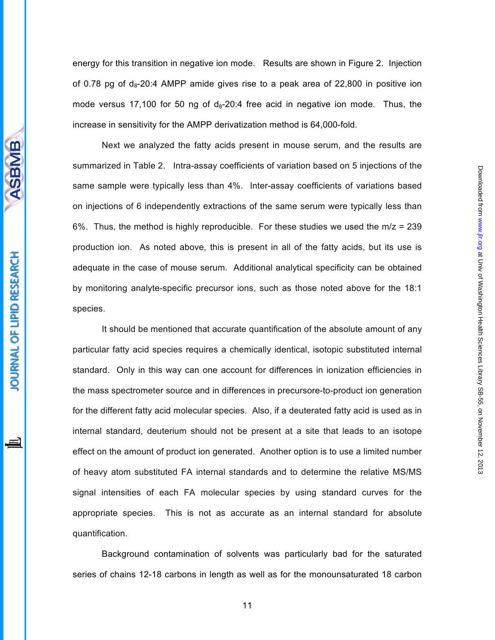energy for this transition in negative ion mode. Results are shown in Figure 2. Injection of 0.78 pg of  $d_8$ -20:4 AMPP amide gives rise to a peak area of 22,800 in positive ion mode versus 17,100 for 50 ng of  $d_{8}$ -20:4 free acid in negative ion mode. Thus, the increase in sensitivity for the AMPP derivatization method is 64,000-fold.

Next we analyzed the fatty acids present in mouse serum, and the results are summarized in Table 2. Intra-assay coefficients of variation based on 5 injections of the same sample were typically less than 4%. Inter-assay coefficients of variations based on injections of 6 independently extractions of the same serum were typically less than 6%. Thus, the method is highly reproducible. For these studies we used the  $m/z = 239$ production ion. As noted above, this is present in all of the fatty acids, but its use is adequate in the case of mouse serum. Additional analytical specificity can be obtained by monitoring analyte-specific precursor ions, such as those noted above for the 18:1 species.

ASBMB

**JOURNAL OF LIPID RESEARCH** 

It should be mentioned that accurate quantification of the absolute amount of any particular fatty acid species requires a chemically identical, isotopic substituted internal standard. Only in this way can one account for differences in ionization efficiencies in the mass spectrometer source and in differences in precursore-to-product ion generation for the different fatty acid molecular species. Also, if a deuterated fatty acid is used as in internal standard, deuterium should not be present at a site that leads to an isotope effect on the amount of product ion generated. Another option is to use a limited number of heavy atom substituted FA internal standards and to determine the relative MS/MS signal intensities of each FA molecular species by using standard curves for the appropriate species. This is not as accurate as an internal standard for absolute quantification.

Background contamination of solvents was particularly bad for the saturated series of chains 12-18 carbons in length as well as for the monounsaturated 18 carbon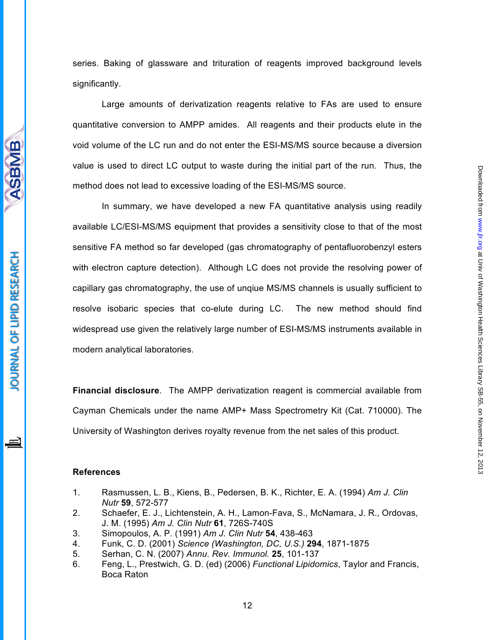**JOURNAL OF LIPID RESEARCH** 

series. Baking of glassware and trituration of reagents improved background levels significantly.

Large amounts of derivatization reagents relative to FAs are used to ensure quantitative conversion to AMPP amides. All reagents and their products elute in the void volume of the LC run and do not enter the ESI-MS/MS source because a diversion value is used to direct LC output to waste during the initial part of the run. Thus, the method does not lead to excessive loading of the ESI-MS/MS source.

In summary, we have developed a new FA quantitative analysis using readily available LC/ESI-MS/MS equipment that provides a sensitivity close to that of the most sensitive FA method so far developed (gas chromatography of pentafluorobenzyl esters with electron capture detection). Although LC does not provide the resolving power of capillary gas chromatography, the use of unqiue MS/MS channels is usually sufficient to resolve isobaric species that co-elute during LC. The new method should find widespread use given the relatively large number of ESI-MS/MS instruments available in modern analytical laboratories.

**Financial disclosure**. The AMPP derivatization reagent is commercial available from Cayman Chemicals under the name AMP+ Mass Spectrometry Kit (Cat. 710000). The University of Washington derives royalty revenue from the net sales of this product.

# **References**

- 1. Rasmussen, L. B., Kiens, B., Pedersen, B. K., Richter, E. A. (1994) *Am J. Clin Nutr* **59**, 572-577
- 2. Schaefer, E. J., Lichtenstein, A. H., Lamon-Fava, S., McNamara, J. R., Ordovas, J. M. (1995) *Am J. Clin Nutr* **61**, 726S-740S
- 3. Simopoulos, A. P. (1991) *Am J. Clin Nutr* **54**, 438-463
- 4. Funk, C. D. (2001) *Science (Washington, DC, U.S.)* **294**, 1871-1875
- 5. Serhan, C. N. (2007) *Annu. Rev. Immunol.* **25**, 101-137
- 6. Feng, L., Prestwich, G. D. (ed) (2006) *Functional Lipidomics*, Taylor and Francis, Boca Raton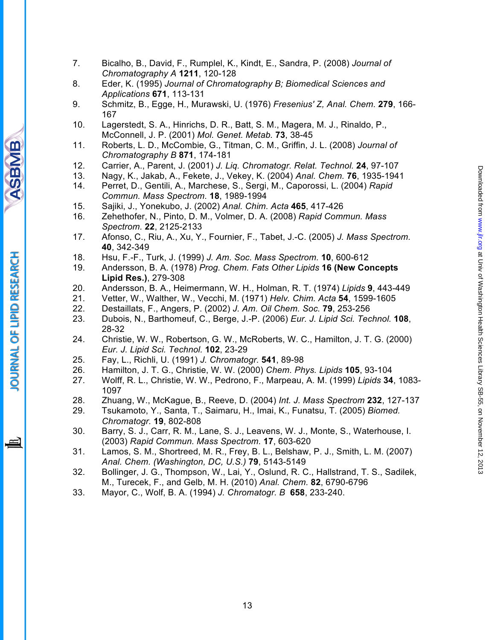- 7. Bicalho, B., David, F., Rumplel, K., Kindt, E., Sandra, P. (2008) *Journal of Chromatography A* **1211**, 120-128
- 8. Eder, K. (1995) *Journal of Chromatography B; Biomedical Sciences and Applications* **671**, 113-131
- 9. Schmitz, B., Egge, H., Murawski, U. (1976) *Fresenius' Z, Anal. Chem.* **279**, 166- 167
- 10. Lagerstedt, S. A., Hinrichs, D. R., Batt, S. M., Magera, M. J., Rinaldo, P., McConnell, J. P. (2001) *Mol. Genet. Metab.* **73**, 38-45
- 11. Roberts, L. D., McCombie, G., Titman, C. M., Griffin, J. L. (2008) *Journal of Chromatography B* **871**, 174-181
- 12. Carrier, A., Parent, J. (2001) *J. Liq. Chromatogr. Relat. Technol.* **24**, 97-107
- 13. Nagy, K., Jakab, A., Fekete, J., Vekey, K. (2004) *Anal. Chem.* **76**, 1935-1941
- 14. Perret, D., Gentili, A., Marchese, S., Sergi, M., Caporossi, L. (2004) *Rapid Commun. Mass Spectrom.* **18**, 1989-1994
- 15. Sajiki, J., Yonekubo, J. (2002) *Anal. Chim. Acta* **465**, 417-426

JOURNAL OF LIPID RESEARCH

山<br>山

- 16. Zehethofer, N., Pinto, D. M., Volmer, D. A. (2008) *Rapid Commun. Mass Spectrom.* **22**, 2125-2133
- 17. Afonso, C., Riu, A., Xu, Y., Fournier, F., Tabet, J.-C. (2005) *J. Mass Spectrom.* **40**, 342-349
- 18. Hsu, F.-F., Turk, J. (1999) *J. Am. Soc. Mass Spectrom.* **10**, 600-612
- 19. Andersson, B. A. (1978) *Prog. Chem. Fats Other Lipids* **16 (New Concepts Lipid Res.)**, 279-308
- 20. Andersson, B. A., Heimermann, W. H., Holman, R. T. (1974) *Lipids* **9**, 443-449
- 21. Vetter, W., Walther, W., Vecchi, M. (1971) *Helv. Chim. Acta* **54**, 1599-1605
- 22. Destaillats, F., Angers, P. (2002) *J. Am. Oil Chem. Soc.* **79**, 253-256
- 23. Dubois, N., Barthomeuf, C., Berge, J.-P. (2006) *Eur. J. Lipid Sci. Technol.* **108**, 28-32
- 24. Christie, W. W., Robertson, G. W., McRoberts, W. C., Hamilton, J. T. G. (2000) *Eur. J. Lipid Sci. Technol.* **102**, 23-29
- 25. Fay, L., Richli, U. (1991) *J. Chromatogr.* **541**, 89-98
- 26. Hamilton, J. T. G., Christie, W. W. (2000) *Chem. Phys. Lipids* **105**, 93-104
- 27. Wolff, R. L., Christie, W. W., Pedrono, F., Marpeau, A. M. (1999) *Lipids* **34**, 1083- 1097
- 28. Zhuang, W., McKague, B., Reeve, D. (2004) *Int. J. Mass Spectrom* **232**, 127-137
- 29. Tsukamoto, Y., Santa, T., Saimaru, H., Imai, K., Funatsu, T. (2005) *Biomed. Chromatogr.* **19**, 802-808
- 30. Barry, S. J., Carr, R. M., Lane, S. J., Leavens, W. J., Monte, S., Waterhouse, I. (2003) *Rapid Commun. Mass Spectrom.* **17**, 603-620
- 31. Lamos, S. M., Shortreed, M. R., Frey, B. L., Belshaw, P. J., Smith, L. M. (2007) *Anal. Chem. (Washington, DC, U.S.)* **79**, 5143-5149
- 32. Bollinger, J. G., Thompson, W., Lai, Y., Oslund, R. C., Hallstrand, T. S., Sadilek, M., Turecek, F., and Gelb, M. H. (2010) *Anal. Chem.* **82**, 6790-6796
- 33. Mayor, C., Wolf, B. A. (1994) *J. Chromatogr. B* **658**, 233-240.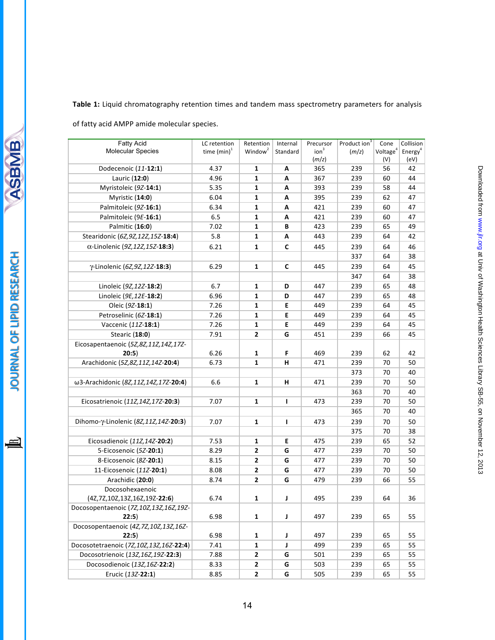Table 1: Liquid chromatography retention times and tandem mass spectrometry parameters for analysis

of fatty acid AMPP amide molecular species.

| <b>Fatty Acid</b>                        | LC retention   | Retention           | Internal | Precursor        | Product ion <sup>3</sup> | Cone                 | Collision           |
|------------------------------------------|----------------|---------------------|----------|------------------|--------------------------|----------------------|---------------------|
| <b>Molecular Species</b>                 | time $(min)^1$ | Window <sup>2</sup> | Standard | ion <sup>3</sup> | (m/z)                    | Voltage <sup>4</sup> | Energy <sup>4</sup> |
|                                          |                |                     |          | (m/z)            |                          | (V)                  | (eV)                |
| Dodecenoic (11-12:1)                     | 4.37           | 1                   | A        | 365              | 239                      | 56                   | 42                  |
| Lauric (12:0)                            | 4.96           | 1                   | А        | 367              | 239                      | 60                   | 44                  |
| Myristoleic (9Z-14:1)                    | 5.35           | 1                   | А        | 393              | 239                      | 58                   | 44                  |
| Myristic (14:0)                          | 6.04           | 1                   | А        | 395              | 239                      | 62                   | 47                  |
| Palmitoleic (9Z-16:1)                    | 6.34           | 1                   | А        | 421              | 239                      | 60                   | 47                  |
| Palmitoleic (9E-16:1)                    | 6.5            | 1                   | А        | 421              | 239                      | 60                   | 47                  |
| Palmitic (16:0)                          | 7.02           | 1                   | В        | 423              | 239                      | 65                   | 49                  |
| Stearidonic (6Z, 9Z, 12Z, 15Z-18:4)      | 5.8            | 1                   | A        | 443              | 239                      | 64                   | 42                  |
| $\alpha$ -Linolenic (9Z,12Z,15Z-18:3)    | 6.21           | 1                   | C        | 445              | 239                      | 64                   | 46                  |
|                                          |                |                     |          |                  | 337                      | 64                   | 38                  |
| γ-Linolenic (6Z, 9Z, 12Z-18:3)           | 6.29           | 1                   | C        | 445              | 239                      | 64                   | 45                  |
|                                          |                |                     |          |                  | 347                      | 64                   | 38                  |
| Linoleic (9Z,12Z-18:2)                   | 6.7            | 1                   | D        | 447              | 239                      | 65                   | 48                  |
| Linoleic (9E, 12E-18:2)                  | 6.96           | 1                   | D        | 447              | 239                      | 65                   | 48                  |
| Oleic (9Z-18:1)                          | 7.26           | 1                   | Е        | 449              | 239                      | 64                   | 45                  |
| Petroselinic (6Z-18:1)                   | 7.26           | 1                   | E        | 449              | 239                      | 64                   | 45                  |
| Vaccenic (11Z-18:1)                      | 7.26           | 1                   | Е        | 449              | 239                      | 64                   | 45                  |
| Stearic (18:0)                           | 7.91           | $\mathbf{2}$        | G        | 451              | 239                      | 66                   | 45                  |
| Eicosapentaenoic (5Z,8Z,11Z,14Z,17Z-     |                |                     |          |                  |                          |                      |                     |
| 20:5)                                    | 6.26           | 1                   | F        | 469              | 239                      | 62                   | 42                  |
| Arachidonic (5Z, 8Z, 11Z, 14Z-20:4)      | 6.73           | 1                   | н        | 471              | 239                      | 70                   | 50                  |
|                                          |                |                     |          |                  | 373                      | 70                   | 40                  |
| ω3-Arachidonic (8Z,11Z,14Z,17Z-20:4)     | 6.6            | 1                   | н        | 471              | 239                      | 70                   | 50                  |
|                                          |                |                     |          |                  | 363                      | 70                   | 40                  |
| Eicosatrienoic (11Z, 14Z, 17Z-20:3)      | 7.07           | 1                   | т        | 473              | 239                      | 70                   | 50                  |
|                                          |                |                     |          |                  | 365                      | 70                   | 40                  |
| Dihomo-γ-Linolenic (8Z,11Z,14Z-20:3)     | 7.07           | 1                   | 1        | 473              | 239                      | 70                   | 50                  |
|                                          |                |                     |          |                  | 375                      | 70                   | 38                  |
| Eicosadienoic (11Z, 14Z-20:2)            | 7.53           | 1                   | Е        | 475              | 239                      | 65                   | 52                  |
| 5-Eicosenoic (5Z-20:1)                   | 8.29           | 2                   | G        | 477              | 239                      | 70                   | 50                  |
| 8-Eicosenoic (8Z-20:1)                   | 8.15           | 2                   | G        | 477              | 239                      | 70                   | 50                  |
| 11-Eicosenoic (11Z-20:1)                 | 8.08           | 2                   | G        | 477              | 239                      | 70                   | 50                  |
| Arachidic (20:0)                         | 8.74           | 2                   | G        | 479              | 239                      | 66                   | 55                  |
| Docosohexaenoic                          |                |                     |          |                  |                          |                      |                     |
| $(42, 72, 102, 132, 162, 192 - 22:6)$    | 6.74           | 1                   | J        | 495              | 239                      | 64                   | 36                  |
| Docosopentaenoic (7Z,10Z,13Z,16Z,19Z-    |                |                     |          |                  |                          |                      |                     |
| 22:5)                                    | 6.98           | $\mathbf{1}$        | J        | 497              | 239                      | 65                   | 55                  |
| Docosopentaenoic (4Z, 7Z, 10Z, 13Z, 16Z- |                |                     |          |                  |                          |                      |                     |
| 22:5)                                    | 6.98           | 1                   | J        | 497              | 239                      | 65                   | 55                  |
| Docosotetraenoic (7Z,10Z,13Z,16Z-22:4)   | 7.41           | 1                   | J        | 499              | 239                      | 65                   | 55                  |
| Docosotrienoic (13Z, 16Z, 19Z-22:3)      | 7.88           | 2                   | G        | 501              | 239                      | 65                   | 55                  |
| Docosodienoic (13Z,16Z-22:2)             | 8.33           | $\mathbf{2}$        | G        | 503              | 239                      | 65                   | 55                  |
| Erucic (13Z-22:1)                        | 8.85           | $\overline{2}$      | G        | 505              | 239                      | 65                   | 55                  |

Ì.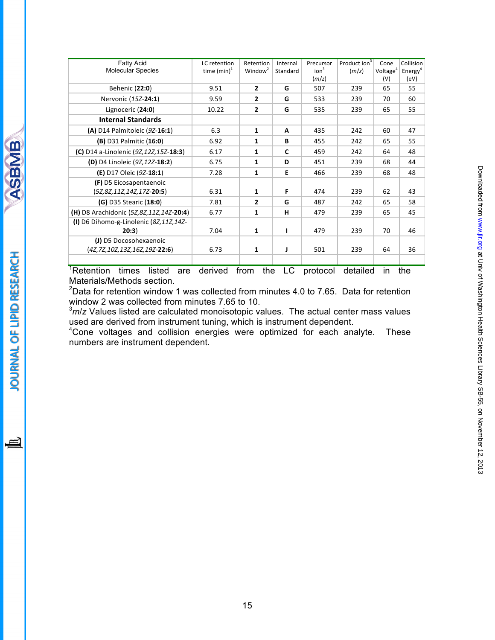| <b>Fatty Acid</b>                            | LC retention   | Retention           | Internal | Precursor        | Product ion <sup>3</sup> | Cone                 | Collision           |
|----------------------------------------------|----------------|---------------------|----------|------------------|--------------------------|----------------------|---------------------|
| <b>Molecular Species</b>                     | time $(min)^1$ | Window <sup>2</sup> | Standard | ion <sup>3</sup> | (m/z)                    | Voltage <sup>4</sup> | Energy <sup>4</sup> |
|                                              |                |                     |          | (m/z)            |                          | (V)                  | (eV)                |
| Behenic (22:0)                               | 9.51           | $\overline{2}$      | G        | 507              | 239                      | 65                   | 55                  |
| Nervonic (15Z-24:1)                          | 9.59           | $\overline{2}$      | G        | 533              | 239                      | 70                   | 60                  |
| Lignoceric (24:0)                            | 10.22          | $\overline{2}$      | G        | 535              | 239                      | 65                   | 55                  |
| <b>Internal Standards</b>                    |                |                     |          |                  |                          |                      |                     |
| (A) D14 Palmitoleic (9Z-16:1)                | 6.3            | $\mathbf{1}$        | A        | 435              | 242                      | 60                   | 47                  |
| (B) D31 Palmitic (16:0)                      | 6.92           | 1                   | B        | 455              | 242                      | 65                   | 55                  |
| (C) D14 a-Linolenic (9Z,12Z,15Z-18:3)        | 6.17           | 1                   | C        | 459              | 242                      | 64                   | 48                  |
| (D) D4 Linoleic (9Z, 12Z-18:2)               | 6.75           | 1                   | D        | 451              | 239                      | 68                   | 44                  |
| (E) D17 Oleic (9Z-18:1)                      | 7.28           | 1                   | Е        | 466              | 239                      | 68                   | 48                  |
| (F) D5 Eicosapentaenoic                      |                |                     |          |                  |                          |                      |                     |
| $(5Z, 8Z, 11Z, 14Z, 17Z - 20:5)$             | 6.31           | 1                   | F        | 474              | 239                      | 62                   | 43                  |
| (G) D35 Stearic (18:0)                       | 7.81           | $\overline{2}$      | G        | 487              | 242                      | 65                   | 58                  |
| (H) D8 Arachidonic (5Z,8Z,11Z,14Z-20:4)      | 6.77           | 1                   | н        | 479              | 239                      | 65                   | 45                  |
| $(1)$ D6 Dihomo-g-Linolenic $(8Z, 11Z, 14Z-$ |                |                     |          |                  |                          |                      |                     |
| 20:3)                                        | 7.04           | $\mathbf{1}$        | ı        | 479              | 239                      | 70                   | 46                  |
| (J) D5 Docosohexaenoic                       |                |                     |          |                  |                          |                      |                     |
| $(4Z, 7Z, 10Z, 13Z, 16Z, 19Z - 22:6)$        | 6.73           | $\mathbf{1}$        | J        | 501              | 239                      | 64                   | 36                  |
|                                              |                |                     |          |                  |                          |                      |                     |

<sup>1</sup>Retention times listed are derived from the LC protocol detailed in the Materials/Methods section.

 $2$ Data for retention window 1 was collected from minutes 4.0 to 7.65. Data for retention window 2 was collected from minutes 7.65 to 10.

3 *m*/*z* Values listed are calculated monoisotopic values. The actual center mass values used are derived from instrument tuning, which is instrument dependent.

<sup>4</sup> Cone voltages and collision energies were optimized for each analyte. These numbers are instrument dependent.

昌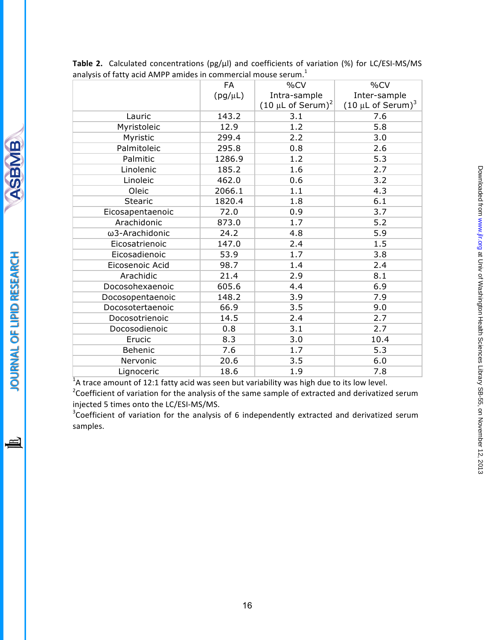|                                                                                                | <b>FA</b>    | %CV                             | %CV                             |  |  |  |
|------------------------------------------------------------------------------------------------|--------------|---------------------------------|---------------------------------|--|--|--|
|                                                                                                | $(pg/\mu L)$ | Intra-sample                    | Inter-sample                    |  |  |  |
|                                                                                                |              | $(10 \mu L \text{ of Serum})^2$ | $(10 \mu L \text{ of Serum})^3$ |  |  |  |
| Lauric                                                                                         | 143.2        | 3.1                             | 7.6                             |  |  |  |
| Myristoleic                                                                                    | 12.9         | 1.2                             | 5.8                             |  |  |  |
| Myristic                                                                                       | 299.4        | 2.2                             | 3.0                             |  |  |  |
| Palmitoleic                                                                                    | 295.8        | 0.8                             | 2.6                             |  |  |  |
| Palmitic                                                                                       | 1286.9       | 1.2                             | 5.3                             |  |  |  |
| Linolenic                                                                                      | 185.2        | 1.6                             | 2.7                             |  |  |  |
| Linoleic                                                                                       | 462.0        | 0.6                             | 3.2                             |  |  |  |
| Oleic                                                                                          | 2066.1       | 1.1                             | 4.3                             |  |  |  |
| <b>Stearic</b>                                                                                 | 1820.4       | 1.8                             | 6.1                             |  |  |  |
| Eicosapentaenoic                                                                               | 72.0         | 0.9                             | 3.7                             |  |  |  |
| Arachidonic                                                                                    | 873.0        | 1.7                             | 5.2                             |  |  |  |
| ω3-Arachidonic                                                                                 | 24.2         | 4.8                             | 5.9                             |  |  |  |
| Eicosatrienoic                                                                                 | 147.0        | 2.4                             | 1.5                             |  |  |  |
| Eicosadienoic                                                                                  | 53.9         | 1.7                             | 3.8                             |  |  |  |
| Eicosenoic Acid                                                                                | 98.7         | 1.4                             | 2.4                             |  |  |  |
| Arachidic                                                                                      | 21.4         | 2.9                             | 8.1                             |  |  |  |
| Docosohexaenoic                                                                                | 605.6        | 4.4                             | 6.9                             |  |  |  |
| Docosopentaenoic                                                                               | 148.2        | 3.9                             | 7.9                             |  |  |  |
| Docosotertaenoic                                                                               | 66.9         | 3.5                             | 9.0                             |  |  |  |
| Docosotrienoic                                                                                 | 14.5         | 2.4                             | 2.7                             |  |  |  |
| Docosodienoic                                                                                  | 0.8          | 3.1                             | 2.7                             |  |  |  |
| Erucic                                                                                         | 8.3          | 3.0                             | 10.4                            |  |  |  |
| Behenic                                                                                        | 7.6          | 1.7                             | 5.3                             |  |  |  |
| Nervonic                                                                                       | 20.6         | 3.5                             | 6.0                             |  |  |  |
| Lignoceric                                                                                     | 18.6         | 1.9                             | 7.8                             |  |  |  |
| $\mu$ trace amount of 1211 fatty opid was seen but variability was bigh due to its lovely luck |              |                                 |                                 |  |  |  |

Table 2. Calculated concentrations (pg/µl) and coefficients of variation (%) for LC/ESI-MS/MS analysis of fatty acid AMPP amides in commercial mouse serum.<sup>1</sup>

<sup>1</sup>A trace amount of 12:1 fatty acid was seen but variability was high due to its low level. <sup>2</sup>Coefficient of variation for the analysis of the same sample of extracted and derivatized serum injected 5 times onto the LC/ESI-MS/MS.

 $3$ Coefficient of variation for the analysis of 6 independently extracted and derivatized serum samples.

≝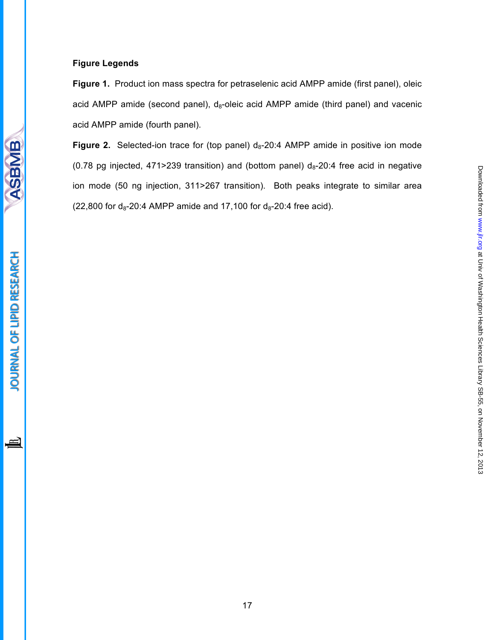# Downloaded from www.jlr.org at Univ of Washington Health Sciences Library SB-55, on November 12, 2013 Downloaded from [www.jlr.org](http://www.jlr.org/) at Univ of Washington Health Sciences Library SB-55, on November 12, 2013

# **Figure Legends**

**Figure 1.** Product ion mass spectra for petraselenic acid AMPP amide (first panel), oleic acid AMPP amide (second panel),  $d_8$ -oleic acid AMPP amide (third panel) and vacenic acid AMPP amide (fourth panel).

**Figure 2.** Selected-ion trace for (top panel)  $d_8$ -20:4 AMPP amide in positive ion mode (0.78 pg injected, 471>239 transition) and (bottom panel)  $d_8$ -20:4 free acid in negative ion mode (50 ng injection, 311>267 transition). Both peaks integrate to similar area  $(22,800$  for d<sub>8</sub>-20:4 AMPP amide and 17,100 for d<sub>8</sub>-20:4 free acid).

Ħ

**ASBMB**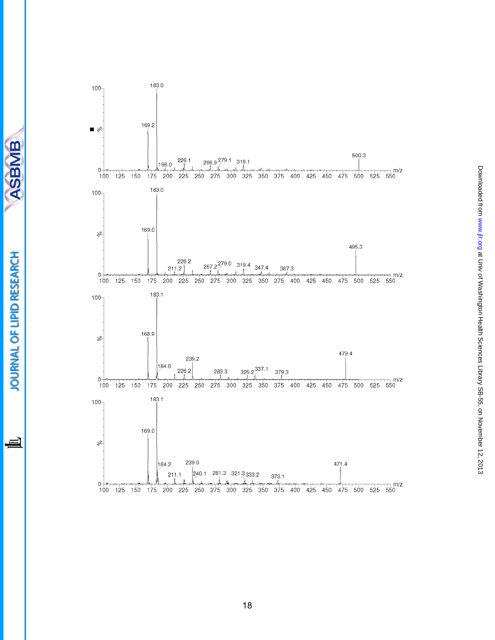

JOURNAL OF LIPID RESEARCH

 $\equiv$